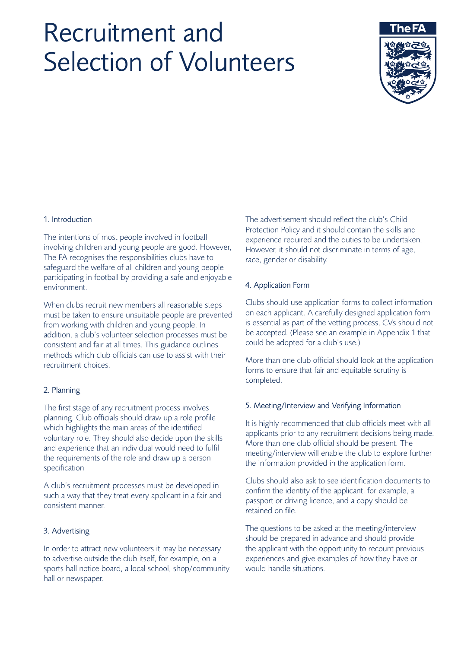# Recruitment and Selection of Volunteers



# 1. Introduction

The intentions of most people involved in football involving children and young people are good. However, The FA recognises the responsibilities clubs have to safeguard the welfare of all children and young people participating in football by providing a safe and enjoyable environment.

When clubs recruit new members all reasonable steps must be taken to ensure unsuitable people are prevented from working with children and young people. In addition, a club's volunteer selection processes must be consistent and fair at all times. This guidance outlines methods which club officials can use to assist with their recruitment choices.

## 2. Planning

The first stage of any recruitment process involves planning. Club officials should draw up a role profile which highlights the main areas of the identified voluntary role. They should also decide upon the skills and experience that an individual would need to fulfil the requirements of the role and draw up a person specification

A club's recruitment processes must be developed in such a way that they treat every applicant in a fair and consistent manner.

# 3. Advertising

In order to attract new volunteers it may be necessary to advertise outside the club itself, for example, on a sports hall notice board, a local school, shop/community hall or newspaper.

The advertisement should reflect the club's Child Protection Policy and it should contain the skills and experience required and the duties to be undertaken. However, it should not discriminate in terms of age, race, gender or disability.

## 4. Application Form

Clubs should use application forms to collect information on each applicant. A carefully designed application form is essential as part of the vetting process, CVs should not be accepted. (Please see an example in Appendix 1 that could be adopted for a club's use.)

More than one club official should look at the application forms to ensure that fair and equitable scrutiny is completed.

## 5. Meeting/Interview and Verifying Information

It is highly recommended that club officials meet with all applicants prior to any recruitment decisions being made. More than one club official should be present. The meeting/interview will enable the club to explore further the information provided in the application form.

Clubs should also ask to see identification documents to confirm the identity of the applicant, for example, a passport or driving licence, and a copy should be retained on file.

The questions to be asked at the meeting/interview should be prepared in advance and should provide the applicant with the opportunity to recount previous experiences and give examples of how they have or would handle situations.